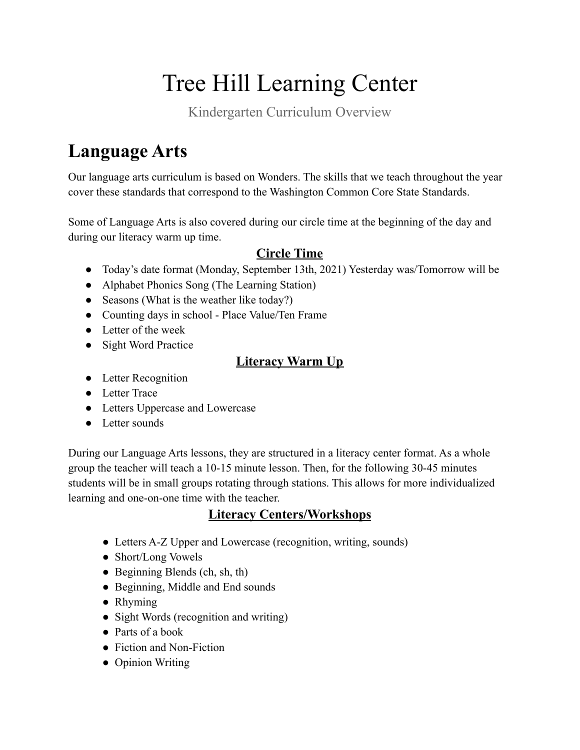# Tree Hill Learning Center

Kindergarten Curriculum Overview

# **Language Arts**

Our language arts curriculum is based on Wonders. The skills that we teach throughout the year cover these standards that correspond to the Washington Common Core State Standards.

Some of Language Arts is also covered during our circle time at the beginning of the day and during our literacy warm up time.

### **Circle Time**

- Today's date format (Monday, September 13th, 2021) Yesterday was/Tomorrow will be
- Alphabet Phonics Song (The Learning Station)
- Seasons (What is the weather like today?)
- Counting days in school Place Value/Ten Frame
- Letter of the week
- Sight Word Practice

### **Literacy Warm Up**

- Letter Recognition
- Letter Trace
- Letters Uppercase and Lowercase
- Letter sounds

During our Language Arts lessons, they are structured in a literacy center format. As a whole group the teacher will teach a 10-15 minute lesson. Then, for the following 30-45 minutes students will be in small groups rotating through stations. This allows for more individualized learning and one-on-one time with the teacher.

#### **Literacy Centers/Workshops**

- Letters A-Z Upper and Lowercase (recognition, writing, sounds)
- Short/Long Vowels
- Beginning Blends (ch, sh, th)
- Beginning, Middle and End sounds
- Rhyming
- Sight Words (recognition and writing)
- Parts of a book
- Fiction and Non-Fiction
- Opinion Writing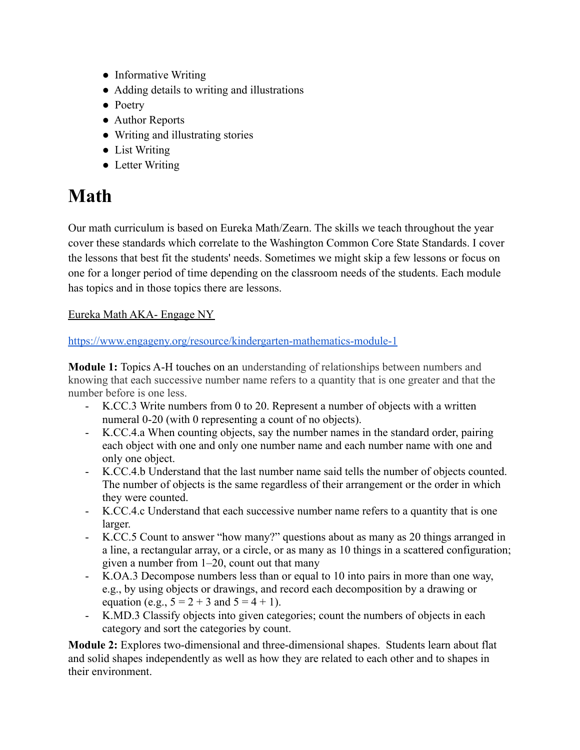- Informative Writing
- Adding details to writing and illustrations
- Poetry
- Author Reports
- Writing and illustrating stories
- List Writing
- Letter Writing

### **Math**

Our math curriculum is based on Eureka Math/Zearn. The skills we teach throughout the year cover these standards which correlate to the Washington Common Core State Standards. I cover the lessons that best fit the students' needs. Sometimes we might skip a few lessons or focus on one for a longer period of time depending on the classroom needs of the students. Each module has topics and in those topics there are lessons.

#### Eureka Math AKA- Engage NY

#### https://www.engageny.org/resource/kindergarten-mathematics-module-1

**Module 1:** Topics A-H touches on an understanding of relationships between numbers and knowing that each successive number name refers to a quantity that is one greater and that the number before is one less.

- K.CC.3 Write numbers from 0 to 20. Represent a number of objects with a written numeral 0-20 (with 0 representing a count of no objects).
- K.CC.4.a When counting objects, say the number names in the standard order, pairing each object with one and only one number name and each number name with one and only one object.
- K.CC.4.b Understand that the last number name said tells the number of objects counted. The number of objects is the same regardless of their arrangement or the order in which they were counted.
- K.CC.4.c Understand that each successive number name refers to a quantity that is one larger.
- K.CC.5 Count to answer "how many?" questions about as many as 20 things arranged in a line, a rectangular array, or a circle, or as many as 10 things in a scattered configuration; given a number from 1–20, count out that many
- K.OA.3 Decompose numbers less than or equal to 10 into pairs in more than one way, e.g., by using objects or drawings, and record each decomposition by a drawing or equation (e.g.,  $5 = 2 + 3$  and  $5 = 4 + 1$ ).
- K.MD.3 Classify objects into given categories; count the numbers of objects in each category and sort the categories by count.

**Module 2:** Explores two-dimensional and three-dimensional shapes. Students learn about flat and solid shapes independently as well as how they are related to each other and to shapes in their environment.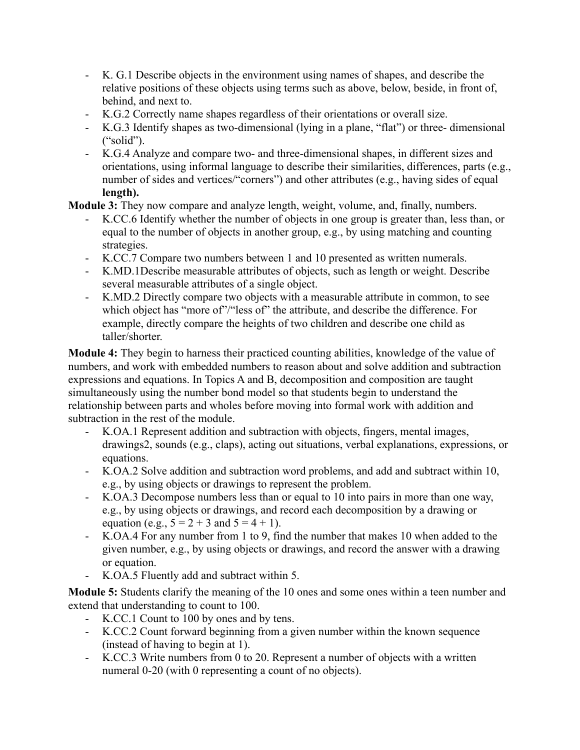- K. G.1 Describe objects in the environment using names of shapes, and describe the relative positions of these objects using terms such as above, below, beside, in front of, behind, and next to.
- K.G.2 Correctly name shapes regardless of their orientations or overall size.
- K.G.3 Identify shapes as two-dimensional (lying in a plane, "flat") or three- dimensional ("solid").
- K.G.4 Analyze and compare two- and three-dimensional shapes, in different sizes and orientations, using informal language to describe their similarities, differences, parts (e.g., number of sides and vertices/"corners") and other attributes (e.g., having sides of equal **length).**

**Module 3:** They now compare and analyze length, weight, volume, and, finally, numbers.

- K.CC.6 Identify whether the number of objects in one group is greater than, less than, or equal to the number of objects in another group, e.g., by using matching and counting strategies.
- K.CC.7 Compare two numbers between 1 and 10 presented as written numerals.
- K.MD.1Describe measurable attributes of objects, such as length or weight. Describe several measurable attributes of a single object.
- K.MD.2 Directly compare two objects with a measurable attribute in common, to see which object has "more of"/"less of" the attribute, and describe the difference. For example, directly compare the heights of two children and describe one child as taller/shorter.

**Module 4:** They begin to harness their practiced counting abilities, knowledge of the value of numbers, and work with embedded numbers to reason about and solve addition and subtraction expressions and equations. In Topics A and B, decomposition and composition are taught simultaneously using the number bond model so that students begin to understand the relationship between parts and wholes before moving into formal work with addition and subtraction in the rest of the module.

- K.OA.1 Represent addition and subtraction with objects, fingers, mental images, drawings2, sounds (e.g., claps), acting out situations, verbal explanations, expressions, or equations.
- K.OA.2 Solve addition and subtraction word problems, and add and subtract within 10, e.g., by using objects or drawings to represent the problem.
- K.OA.3 Decompose numbers less than or equal to 10 into pairs in more than one way, e.g., by using objects or drawings, and record each decomposition by a drawing or equation (e.g.,  $5 = 2 + 3$  and  $5 = 4 + 1$ ).
- K.OA.4 For any number from 1 to 9, find the number that makes 10 when added to the given number, e.g., by using objects or drawings, and record the answer with a drawing or equation.
- K.OA.5 Fluently add and subtract within 5.

**Module 5:** Students clarify the meaning of the 10 ones and some ones within a teen number and extend that understanding to count to 100.

- K.CC.1 Count to 100 by ones and by tens.
- K.CC.2 Count forward beginning from a given number within the known sequence (instead of having to begin at 1).
- K.CC.3 Write numbers from 0 to 20. Represent a number of objects with a written numeral 0-20 (with 0 representing a count of no objects).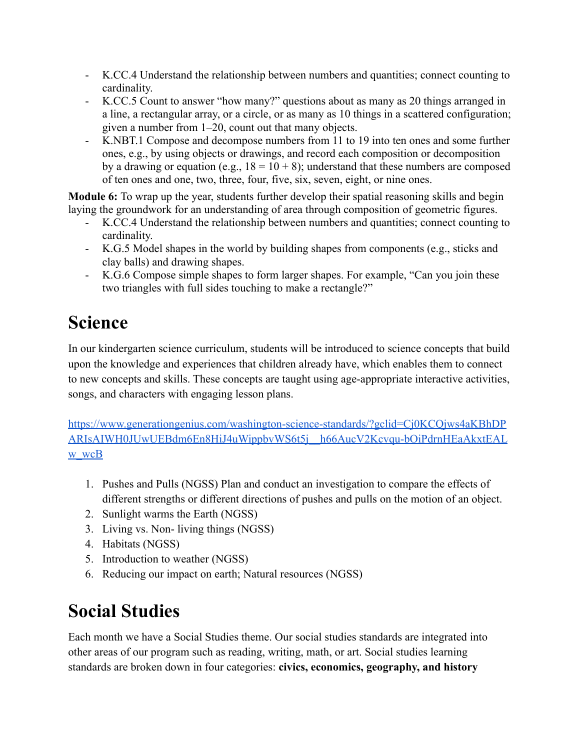- K.CC.4 Understand the relationship between numbers and quantities; connect counting to cardinality.
- K.CC.5 Count to answer "how many?" questions about as many as 20 things arranged in a line, a rectangular array, or a circle, or as many as 10 things in a scattered configuration; given a number from 1–20, count out that many objects.
- K.NBT.1 Compose and decompose numbers from 11 to 19 into ten ones and some further ones, e.g., by using objects or drawings, and record each composition or decomposition by a drawing or equation (e.g.,  $18 = 10 + 8$ ); understand that these numbers are composed of ten ones and one, two, three, four, five, six, seven, eight, or nine ones.

**Module 6:** To wrap up the year, students further develop their spatial reasoning skills and begin laying the groundwork for an understanding of area through composition of geometric figures.

- K.CC.4 Understand the relationship between numbers and quantities; connect counting to cardinality.
- K.G.5 Model shapes in the world by building shapes from components (e.g., sticks and clay balls) and drawing shapes.
- K.G.6 Compose simple shapes to form larger shapes. For example, "Can you join these two triangles with full sides touching to make a rectangle?"

# **Science**

In our kindergarten science curriculum, students will be introduced to science concepts that build upon the knowledge and experiences that children already have, which enables them to connect to new concepts and skills. These concepts are taught using age-appropriate interactive activities, songs, and characters with engaging lesson plans.

https://www.generationgenius.com/washington-science-standards/?gclid=Cj0KCQjws4aKBhDP ARIsAIWH0JUwUEBdm6En8HiJ4uWippbvWS6t5j\_\_h66AucV2Kcvqu-bOiPdrnHEaAkxtEAL w wcB

- 1. Pushes and Pulls (NGSS) Plan and conduct an investigation to compare the effects of different strengths or different directions of pushes and pulls on the motion of an object.
- 2. Sunlight warms the Earth (NGSS)
- 3. Living vs. Non- living things (NGSS)
- 4. Habitats (NGSS)
- 5. Introduction to weather (NGSS)
- 6. Reducing our impact on earth; Natural resources (NGSS)

### **Social Studies**

Each month we have a Social Studies theme. Our social studies standards are integrated into other areas of our program such as reading, writing, math, or art. Social studies learning standards are broken down in four categories: **civics, economics, geography, and history**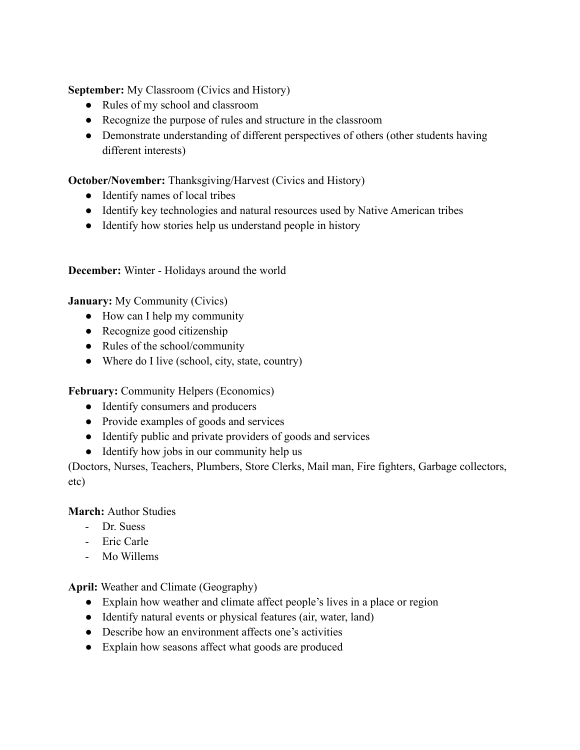**September:** My Classroom (Civics and History)

- Rules of my school and classroom
- Recognize the purpose of rules and structure in the classroom
- Demonstrate understanding of different perspectives of others (other students having different interests)

**October/November:** Thanksgiving/Harvest (Civics and History)

- Identify names of local tribes
- Identify key technologies and natural resources used by Native American tribes
- Identify how stories help us understand people in history

**December:** Winter - Holidays around the world

**January:** My Community (Civics)

- How can I help my community
- Recognize good citizenship
- Rules of the school/community
- Where do I live (school, city, state, country)

**February:** Community Helpers (Economics)

- Identify consumers and producers
- Provide examples of goods and services
- Identify public and private providers of goods and services
- Identify how jobs in our community help us

(Doctors, Nurses, Teachers, Plumbers, Store Clerks, Mail man, Fire fighters, Garbage collectors, etc)

#### **March:** Author Studies

- Dr. Suess
- Eric Carle
- Mo Willems

**April:** Weather and Climate (Geography)

- Explain how weather and climate affect people's lives in a place or region
- Identify natural events or physical features (air, water, land)
- Describe how an environment affects one's activities
- Explain how seasons affect what goods are produced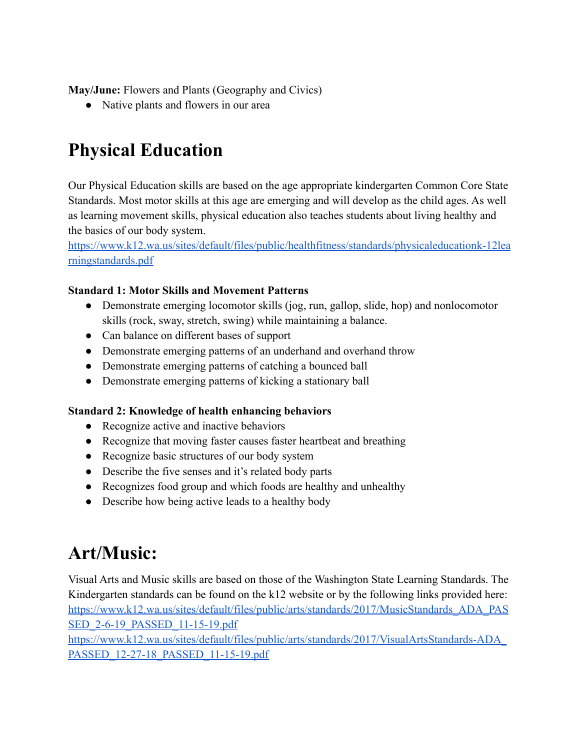**May/June:** Flowers and Plants (Geography and Civics)

• Native plants and flowers in our area

## **Physical Education**

Our Physical Education skills are based on the age appropriate kindergarten Common Core State Standards. Most motor skills at this age are emerging and will develop as the child ages. As well as learning movement skills, physical education also teaches students about living healthy and the basics of our body system.

https://www.k12.wa.us/sites/default/files/public/healthfitness/standards/physicaleducationk-12lea rningstandards.pdf

#### **Standard 1: Motor Skills and Movement Patterns**

- Demonstrate emerging locomotor skills (jog, run, gallop, slide, hop) and nonlocomotor skills (rock, sway, stretch, swing) while maintaining a balance.
- Can balance on different bases of support
- Demonstrate emerging patterns of an underhand and overhand throw
- Demonstrate emerging patterns of catching a bounced ball
- Demonstrate emerging patterns of kicking a stationary ball

#### **Standard 2: Knowledge of health enhancing behaviors**

- Recognize active and inactive behaviors
- Recognize that moving faster causes faster heartbeat and breathing
- Recognize basic structures of our body system
- Describe the five senses and it's related body parts
- Recognizes food group and which foods are healthy and unhealthy
- Describe how being active leads to a healthy body

### **Art/Music:**

Visual Arts and Music skills are based on those of the Washington State Learning Standards. The Kindergarten standards can be found on the k12 website or by the following links provided here: https://www.k12.wa.us/sites/default/files/public/arts/standards/2017/MusicStandards\_ADA\_PAS SED 2-6-19 PASSED 11-15-19.pdf

https://www.k12.wa.us/sites/default/files/public/arts/standards/2017/VisualArtsStandards-ADA\_ PASSED 12-27-18 PASSED 11-15-19.pdf